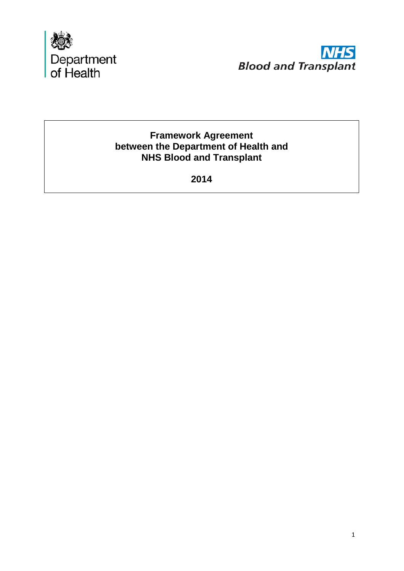



# **Framework Agreement between the Department of Health and NHS Blood and Transplant**

**2014**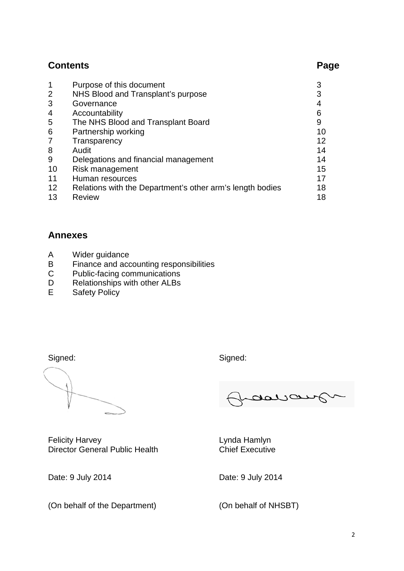# **Contents Page**

|    | Purpose of this document                                  |    |
|----|-----------------------------------------------------------|----|
| 2  | NHS Blood and Transplant's purpose                        |    |
| 3  | Governance                                                |    |
| 4  | Accountability                                            | 6  |
| 5  | The NHS Blood and Transplant Board                        | 9  |
| 6  | Partnership working                                       | 10 |
|    | Transparency                                              | 12 |
| 8  | Audit                                                     | 14 |
| 9  | Delegations and financial management                      | 14 |
| 10 | Risk management                                           | 15 |
| 11 | Human resources                                           | 17 |
| 12 | Relations with the Department's other arm's length bodies | 18 |
| 13 | <b>Review</b>                                             | 18 |

# **Annexes**

- A Wider guidance<br>B Finance and acc
- B Finance and accounting responsibilities<br>C Public-facing communications
- C Public-facing communications<br>D Relationships with other ALBs
- D Relationships with other ALBs<br>E Safety Policy
- Safety Policy

Felicity Harvey<br>
Director General Public Health<br>
Chief Executive Director General Public Health

(On behalf of the Department) (On behalf of NHSBT)

Signed: Signed: Signed: Signed: Signed: Signed: Signed: Signed: Signed: Signed: Signed: Signed: Signed: Signed: Signed: Signed: Signed: Signed: Signed: Signed: Signed: Signed: Signed: Signed: Signed: Signed: Signed: Signed

daya

Date: 9 July 2014 Date: 9 July 2014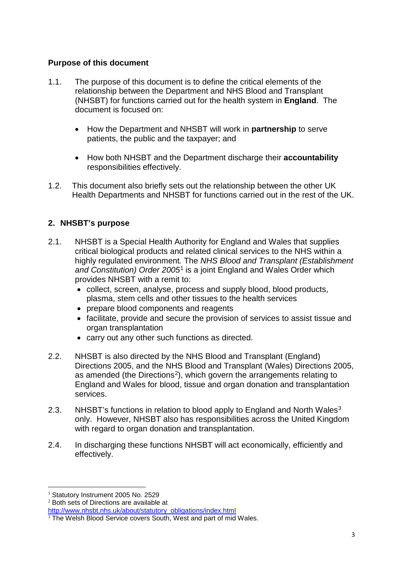### **Purpose of this document**

- 1.1. The purpose of this document is to define the critical elements of the relationship between the Department and NHS Blood and Transplant (NHSBT) for functions carried out for the health system in **England**. The document is focused on:
	- How the Department and NHSBT will work in **partnership** to serve patients, the public and the taxpayer; and
	- How both NHSBT and the Department discharge their **accountability**  responsibilities effectively.
- 1.2. This document also briefly sets out the relationship between the other UK Health Departments and NHSBT for functions carried out in the rest of the UK.

# **2. NHSBT's purpose**

- 2.1. NHSBT is a Special Health Authority for England and Wales that supplies critical biological products and related clinical services to the NHS within a highly regulated environment*.* The *NHS Blood and Transplant (Establishment and Constitution) Order 2005*[1](#page-2-0) is a joint England and Wales Order which provides NHSBT with a remit to:
	- collect, screen, analyse, process and supply blood, blood products, plasma, stem cells and other tissues to the health services
	- prepare blood components and reagents
	- facilitate, provide and secure the provision of services to assist tissue and organ transplantation
	- carry out any other such functions as directed.
- 2.2. NHSBT is also directed by the NHS Blood and Transplant (England) Directions 2005, and the NHS Blood and Transplant (Wales) Directions 2005, as amended (the Directions<sup>[2](#page-2-1)</sup>), which govern the arrangements relating to England and Wales for blood, tissue and organ donation and transplantation services.
- 2.[3](#page-2-2). NHSBT's functions in relation to blood apply to England and North Wales<sup>3</sup> only. However, NHSBT also has responsibilities across the United Kingdom with regard to organ donation and transplantation.
- 2.4. In discharging these functions NHSBT will act economically, efficiently and effectively.

<sup>-</sup><sup>1</sup> Statutory Instrument 2005 No. 2529

<span id="page-2-1"></span><span id="page-2-0"></span> $2$  Both sets of Directions are available at

[http://www.nhsbt.nhs.uk/about/statutory\\_obligations/index.html](http://www.nhsbt.nhs.uk/about/statutory_obligations/index.html)

<span id="page-2-2"></span><sup>&</sup>lt;sup>3</sup> The Welsh Blood Service covers South, West and part of mid Wales.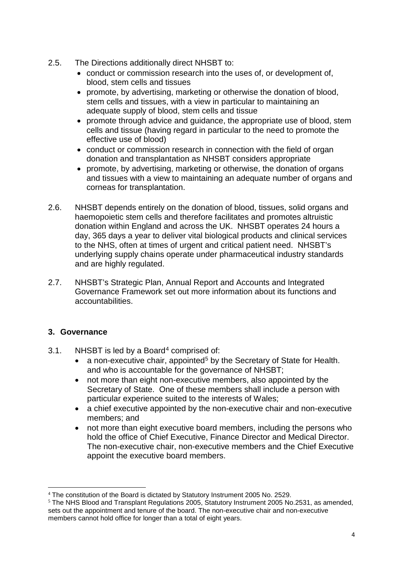- 2.5. The Directions additionally direct NHSBT to:
	- conduct or commission research into the uses of, or development of, blood, stem cells and tissues
	- promote, by advertising, marketing or otherwise the donation of blood, stem cells and tissues, with a view in particular to maintaining an adequate supply of blood, stem cells and tissue
	- promote through advice and guidance, the appropriate use of blood, stem cells and tissue (having regard in particular to the need to promote the effective use of blood)
	- conduct or commission research in connection with the field of organ donation and transplantation as NHSBT considers appropriate
	- promote, by advertising, marketing or otherwise, the donation of organs and tissues with a view to maintaining an adequate number of organs and corneas for transplantation.
- 2.6. NHSBT depends entirely on the donation of blood, tissues, solid organs and haemopoietic stem cells and therefore facilitates and promotes altruistic donation within England and across the UK. NHSBT operates 24 hours a day, 365 days a year to deliver vital biological products and clinical services to the NHS, often at times of urgent and critical patient need. NHSBT's underlying supply chains operate under pharmaceutical industry standards and are highly regulated.
- 2.7. NHSBT's Strategic Plan, Annual Report and Accounts and Integrated Governance Framework set out more information about its functions and accountabilities.

# **3. Governance**

- 3.1. NHSBT is led by a Board<sup>[4](#page-3-0)</sup> comprised of:
	- a non-executive chair, appointed<sup>[5](#page-3-1)</sup> by the Secretary of State for Health. and who is accountable for the governance of NHSBT;
	- not more than eight non-executive members, also appointed by the Secretary of State. One of these members shall include a person with particular experience suited to the interests of Wales;
	- a chief executive appointed by the non-executive chair and non-executive members; and
	- not more than eight executive board members, including the persons who hold the office of Chief Executive, Finance Director and Medical Director. The non-executive chair, non-executive members and the Chief Executive appoint the executive board members.

<sup>&</sup>lt;u>.</u> <sup>4</sup> The constitution of the Board is dictated by Statutory Instrument 2005 No. 2529.

<span id="page-3-1"></span><span id="page-3-0"></span><sup>5</sup> The NHS Blood and Transplant Regulations 2005, Statutory Instrument 2005 No.2531, as amended, sets out the appointment and tenure of the board. The non-executive chair and non-executive members cannot hold office for longer than a total of eight years.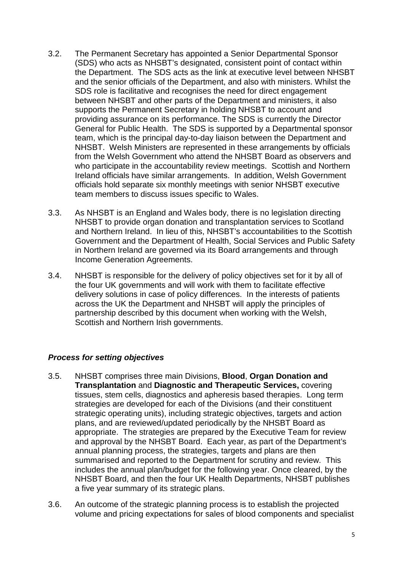- 3.2. The Permanent Secretary has appointed a Senior Departmental Sponsor (SDS) who acts as NHSBT's designated, consistent point of contact within the Department. The SDS acts as the link at executive level between NHSBT and the senior officials of the Department, and also with ministers. Whilst the SDS role is facilitative and recognises the need for direct engagement between NHSBT and other parts of the Department and ministers, it also supports the Permanent Secretary in holding NHSBT to account and providing assurance on its performance. The SDS is currently the Director General for Public Health. The SDS is supported by a Departmental sponsor team, which is the principal day-to-day liaison between the Department and NHSBT. Welsh Ministers are represented in these arrangements by officials from the Welsh Government who attend the NHSBT Board as observers and who participate in the accountability review meetings. Scottish and Northern Ireland officials have similar arrangements. In addition, Welsh Government officials hold separate six monthly meetings with senior NHSBT executive team members to discuss issues specific to Wales.
- 3.3. As NHSBT is an England and Wales body, there is no legislation directing NHSBT to provide organ donation and transplantation services to Scotland and Northern Ireland. In lieu of this, NHSBT's accountabilities to the Scottish Government and the Department of Health, Social Services and Public Safety in Northern Ireland are governed via its Board arrangements and through Income Generation Agreements.
- 3.4. NHSBT is responsible for the delivery of policy objectives set for it by all of the four UK governments and will work with them to facilitate effective delivery solutions in case of policy differences. In the interests of patients across the UK the Department and NHSBT will apply the principles of partnership described by this document when working with the Welsh, Scottish and Northern Irish governments.

#### *Process for setting objectives*

- 3.5. NHSBT comprises three main Divisions, **Blood**, **Organ Donation and Transplantation** and **Diagnostic and Therapeutic Services,** covering tissues, stem cells, diagnostics and apheresis based therapies. Long term strategies are developed for each of the Divisions (and their constituent strategic operating units), including strategic objectives, targets and action plans, and are reviewed/updated periodically by the NHSBT Board as appropriate. The strategies are prepared by the Executive Team for review and approval by the NHSBT Board. Each year, as part of the Department's annual planning process, the strategies, targets and plans are then summarised and reported to the Department for scrutiny and review. This includes the annual plan/budget for the following year. Once cleared, by the NHSBT Board, and then the four UK Health Departments, NHSBT publishes a five year summary of its strategic plans.
- 3.6. An outcome of the strategic planning process is to establish the projected volume and pricing expectations for sales of blood components and specialist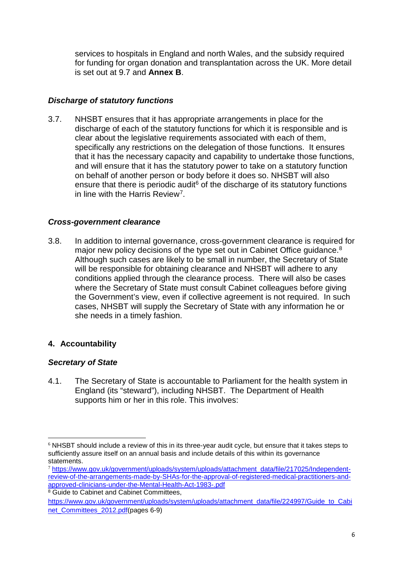services to hospitals in England and north Wales, and the subsidy required for funding for organ donation and transplantation across the UK. More detail is set out at 9.7 and **Annex B**.

### *Discharge of statutory functions*

3.7. NHSBT ensures that it has appropriate arrangements in place for the discharge of each of the statutory functions for which it is responsible and is clear about the legislative requirements associated with each of them, specifically any restrictions on the delegation of those functions. It ensures that it has the necessary capacity and capability to undertake those functions, and will ensure that it has the statutory power to take on a statutory function on behalf of another person or body before it does so. NHSBT will also ensure that there is periodic audit<sup>6</sup> of the discharge of its statutory functions in line with the Harris Review[7.](#page-5-1)

#### *Cross-government clearance*

3.8. In addition to internal governance, cross-government clearance is required for major new policy decisions of the type set out in Cabinet Office guidance.<sup>[8](#page-5-2)</sup> Although such cases are likely to be small in number, the Secretary of State will be responsible for obtaining clearance and NHSBT will adhere to any conditions applied through the clearance process. There will also be cases where the Secretary of State must consult Cabinet colleagues before giving the Government's view, even if collective agreement is not required. In such cases, NHSBT will supply the Secretary of State with any information he or she needs in a timely fashion.

# **4. Accountability**

#### *Secretary of State*

4.1. The Secretary of State is accountable to Parliament for the health system in England (its "steward"), including NHSBT. The Department of Health supports him or her in this role. This involves:

<span id="page-5-0"></span><sup>&</sup>lt;u>.</u>  $6$  NHSBT should include a review of this in its three-year audit cycle, but ensure that it takes steps to sufficiently assure itself on an annual basis and include details of this within its governance statements.

<span id="page-5-1"></span><sup>7</sup> [https://www.gov.uk/government/uploads/system/uploads/attachment\\_data/file/217025/Independent](https://www.gov.uk/government/uploads/system/uploads/attachment_data/file/217025/Independent-review-of-the-arrangements-made-by-SHAs-for-the-approval-of-registered-medical-practitioners-and-approved-clinicians-under-the-Mental-Health-Act-1983-.pdf)[review-of-the-arrangements-made-by-SHAs-for-the-approval-of-registered-medical-practitioners-and](https://www.gov.uk/government/uploads/system/uploads/attachment_data/file/217025/Independent-review-of-the-arrangements-made-by-SHAs-for-the-approval-of-registered-medical-practitioners-and-approved-clinicians-under-the-Mental-Health-Act-1983-.pdf)[approved-clinicians-under-the-Mental-Health-Act-1983-.pdf](https://www.gov.uk/government/uploads/system/uploads/attachment_data/file/217025/Independent-review-of-the-arrangements-made-by-SHAs-for-the-approval-of-registered-medical-practitioners-and-approved-clinicians-under-the-Mental-Health-Act-1983-.pdf)

<span id="page-5-2"></span><sup>&</sup>lt;sup>8</sup> Guide to Cabinet and Cabinet Committees,

[https://www.gov.uk/government/uploads/system/uploads/attachment\\_data/file/224997/Guide\\_to\\_Cabi](https://www.gov.uk/government/uploads/system/uploads/attachment_data/file/224997/Guide_to_Cabinet_Committees_2012.pdf) net Committees 2012.pdf(pages 6-9)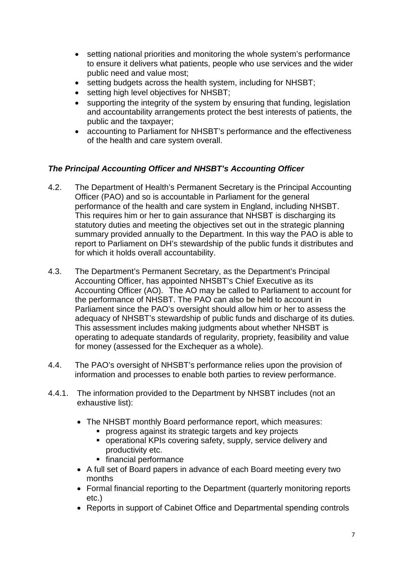- setting national priorities and monitoring the whole system's performance to ensure it delivers what patients, people who use services and the wider public need and value most;
- setting budgets across the health system, including for NHSBT;
- setting high level objectives for NHSBT;
- supporting the integrity of the system by ensuring that funding, legislation and accountability arrangements protect the best interests of patients, the public and the taxpayer;
- accounting to Parliament for NHSBT's performance and the effectiveness of the health and care system overall.

# *The Principal Accounting Officer and NHSBT's Accounting Officer*

- 4.2. The Department of Health's Permanent Secretary is the Principal Accounting Officer (PAO) and so is accountable in Parliament for the general performance of the health and care system in England, including NHSBT. This requires him or her to gain assurance that NHSBT is discharging its statutory duties and meeting the objectives set out in the strategic planning summary provided annually to the Department. In this way the PAO is able to report to Parliament on DH's stewardship of the public funds it distributes and for which it holds overall accountability.
- 4.3. The Department's Permanent Secretary, as the Department's Principal Accounting Officer, has appointed NHSBT's Chief Executive as its Accounting Officer (AO). The AO may be called to Parliament to account for the performance of NHSBT. The PAO can also be held to account in Parliament since the PAO's oversight should allow him or her to assess the adequacy of NHSBT's stewardship of public funds and discharge of its duties. This assessment includes making judgments about whether NHSBT is operating to adequate standards of regularity, propriety, feasibility and value for money (assessed for the Exchequer as a whole).
- 4.4. The PAO's oversight of NHSBT's performance relies upon the provision of information and processes to enable both parties to review performance.
- 4.4.1. The information provided to the Department by NHSBT includes (not an exhaustive list):
	- The NHSBT monthly Board performance report, which measures:
		- progress against its strategic targets and key projects
		- operational KPIs covering safety, supply, service delivery and productivity etc.
		- **financial performance**
	- A full set of Board papers in advance of each Board meeting every two months
	- Formal financial reporting to the Department (quarterly monitoring reports etc.)
	- Reports in support of Cabinet Office and Departmental spending controls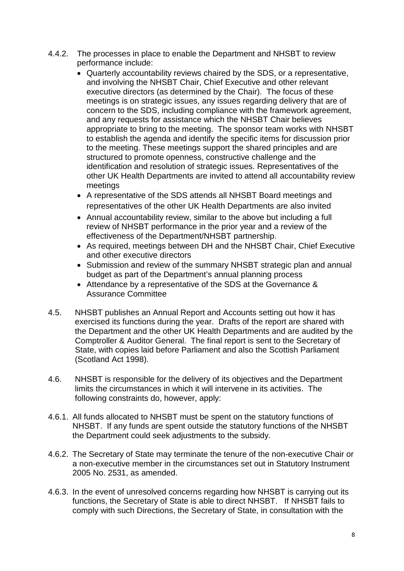- 4.4.2. The processes in place to enable the Department and NHSBT to review performance include:
	- Quarterly accountability reviews chaired by the SDS, or a representative, and involving the NHSBT Chair, Chief Executive and other relevant executive directors (as determined by the Chair). The focus of these meetings is on strategic issues, any issues regarding delivery that are of concern to the SDS, including compliance with the framework agreement, and any requests for assistance which the NHSBT Chair believes appropriate to bring to the meeting. The sponsor team works with NHSBT to establish the agenda and identify the specific items for discussion prior to the meeting. These meetings support the shared principles and are structured to promote openness, constructive challenge and the identification and resolution of strategic issues. Representatives of the other UK Health Departments are invited to attend all accountability review meetings
	- A representative of the SDS attends all NHSBT Board meetings and representatives of the other UK Health Departments are also invited
	- Annual accountability review, similar to the above but including a full review of NHSBT performance in the prior year and a review of the effectiveness of the Department/NHSBT partnership.
	- As required, meetings between DH and the NHSBT Chair, Chief Executive and other executive directors
	- Submission and review of the summary NHSBT strategic plan and annual budget as part of the Department's annual planning process
	- Attendance by a representative of the SDS at the Governance & Assurance Committee
- 4.5. NHSBT publishes an Annual Report and Accounts setting out how it has exercised its functions during the year. Drafts of the report are shared with the Department and the other UK Health Departments and are audited by the Comptroller & Auditor General. The final report is sent to the Secretary of State, with copies laid before Parliament and also the Scottish Parliament (Scotland Act 1998).
- 4.6. NHSBT is responsible for the delivery of its objectives and the Department limits the circumstances in which it will intervene in its activities. The following constraints do, however, apply:
- 4.6.1. All funds allocated to NHSBT must be spent on the statutory functions of NHSBT. If any funds are spent outside the statutory functions of the NHSBT the Department could seek adjustments to the subsidy.
- 4.6.2. The Secretary of State may terminate the tenure of the non-executive Chair or a non-executive member in the circumstances set out in Statutory Instrument 2005 No. 2531, as amended.
- 4.6.3. In the event of unresolved concerns regarding how NHSBT is carrying out its functions, the Secretary of State is able to direct NHSBT. If NHSBT fails to comply with such Directions, the Secretary of State, in consultation with the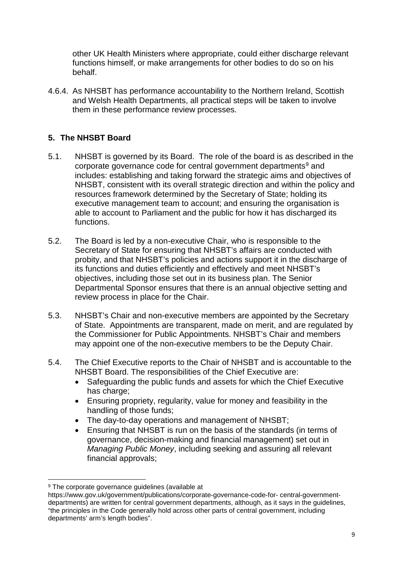other UK Health Ministers where appropriate, could either discharge relevant functions himself, or make arrangements for other bodies to do so on his behalf.

4.6.4. As NHSBT has performance accountability to the Northern Ireland, Scottish and Welsh Health Departments, all practical steps will be taken to involve them in these performance review processes.

# **5. The NHSBT Board**

- 5.1. NHSBT is governed by its Board. The role of the board is as described in the corporate governance code for central government departments<sup>[9](#page-8-0)</sup> and includes: establishing and taking forward the strategic aims and objectives of NHSBT, consistent with its overall strategic direction and within the policy and resources framework determined by the Secretary of State; holding its executive management team to account; and ensuring the organisation is able to account to Parliament and the public for how it has discharged its functions.
- 5.2. The Board is led by a non-executive Chair, who is responsible to the Secretary of State for ensuring that NHSBT's affairs are conducted with probity, and that NHSBT's policies and actions support it in the discharge of its functions and duties efficiently and effectively and meet NHSBT's objectives, including those set out in its business plan. The Senior Departmental Sponsor ensures that there is an annual objective setting and review process in place for the Chair.
- 5.3. NHSBT's Chair and non-executive members are appointed by the Secretary of State. Appointments are transparent, made on merit, and are regulated by the Commissioner for Public Appointments. NHSBT's Chair and members may appoint one of the non-executive members to be the Deputy Chair.
- 5.4. The Chief Executive reports to the Chair of NHSBT and is accountable to the NHSBT Board. The responsibilities of the Chief Executive are:
	- Safeguarding the public funds and assets for which the Chief Executive has charge:
	- Ensuring propriety, regularity, value for money and feasibility in the handling of those funds;
	- The day-to-day operations and management of NHSBT;
	- Ensuring that NHSBT is run on the basis of the standards (in terms of governance, decision-making and financial management) set out in *Managing Public Money*, including seeking and assuring all relevant financial approvals;

<span id="page-8-0"></span><sup>&</sup>lt;sup>9</sup> The corporate governance quidelines (available at

https://www.gov.uk/government/publications/corporate-governance-code-for- central-governmentdepartments) are written for central government departments, although, as it says in the guidelines, "the principles in the Code generally hold across other parts of central government, including departments' arm's length bodies".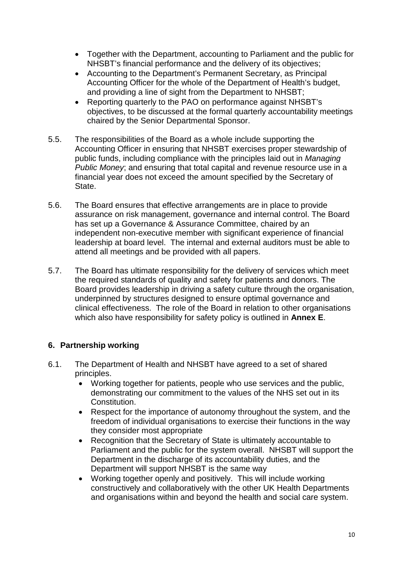- Together with the Department, accounting to Parliament and the public for NHSBT's financial performance and the delivery of its objectives;
- Accounting to the Department's Permanent Secretary, as Principal Accounting Officer for the whole of the Department of Health's budget, and providing a line of sight from the Department to NHSBT;
- Reporting quarterly to the PAO on performance against NHSBT's objectives, to be discussed at the formal quarterly accountability meetings chaired by the Senior Departmental Sponsor.
- 5.5. The responsibilities of the Board as a whole include supporting the Accounting Officer in ensuring that NHSBT exercises proper stewardship of public funds, including compliance with the principles laid out in *Managing Public Money*; and ensuring that total capital and revenue resource use in a financial year does not exceed the amount specified by the Secretary of State.
- 5.6. The Board ensures that effective arrangements are in place to provide assurance on risk management, governance and internal control. The Board has set up a Governance & Assurance Committee, chaired by an independent non-executive member with significant experience of financial leadership at board level. The internal and external auditors must be able to attend all meetings and be provided with all papers.
- 5.7. The Board has ultimate responsibility for the delivery of services which meet the required standards of quality and safety for patients and donors. The Board provides leadership in driving a safety culture through the organisation, underpinned by structures designed to ensure optimal governance and clinical effectiveness. The role of the Board in relation to other organisations which also have responsibility for safety policy is outlined in **Annex E**.

# **6. Partnership working**

- 6.1. The Department of Health and NHSBT have agreed to a set of shared principles.
	- Working together for patients, people who use services and the public, demonstrating our commitment to the values of the NHS set out in its Constitution.
	- Respect for the importance of autonomy throughout the system, and the freedom of individual organisations to exercise their functions in the way they consider most appropriate
	- Recognition that the Secretary of State is ultimately accountable to Parliament and the public for the system overall. NHSBT will support the Department in the discharge of its accountability duties, and the Department will support NHSBT is the same way
	- Working together openly and positively. This will include working constructively and collaboratively with the other UK Health Departments and organisations within and beyond the health and social care system.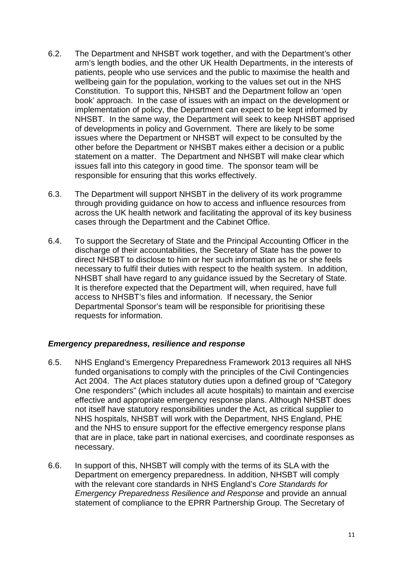- 6.2. The Department and NHSBT work together, and with the Department's other arm's length bodies, and the other UK Health Departments, in the interests of patients, people who use services and the public to maximise the health and wellbeing gain for the population, working to the values set out in the NHS Constitution. To support this, NHSBT and the Department follow an 'open book' approach. In the case of issues with an impact on the development or implementation of policy, the Department can expect to be kept informed by NHSBT. In the same way, the Department will seek to keep NHSBT apprised of developments in policy and Government. There are likely to be some issues where the Department or NHSBT will expect to be consulted by the other before the Department or NHSBT makes either a decision or a public statement on a matter. The Department and NHSBT will make clear which issues fall into this category in good time. The sponsor team will be responsible for ensuring that this works effectively.
- 6.3. The Department will support NHSBT in the delivery of its work programme through providing guidance on how to access and influence resources from across the UK health network and facilitating the approval of its key business cases through the Department and the Cabinet Office.
- 6.4. To support the Secretary of State and the Principal Accounting Officer in the discharge of their accountabilities, the Secretary of State has the power to direct NHSBT to disclose to him or her such information as he or she feels necessary to fulfil their duties with respect to the health system. In addition, NHSBT shall have regard to any guidance issued by the Secretary of State. It is therefore expected that the Department will, when required, have full access to NHSBT's files and information. If necessary, the Senior Departmental Sponsor's team will be responsible for prioritising these requests for information.

#### *Emergency preparedness, resilience and response*

- 6.5. NHS England's Emergency Preparedness Framework 2013 requires all NHS funded organisations to comply with the principles of the Civil Contingencies Act 2004. The Act places statutory duties upon a defined group of "Category One responders" (which includes all acute hospitals) to maintain and exercise effective and appropriate emergency response plans. Although NHSBT does not itself have statutory responsibilities under the Act, as critical supplier to NHS hospitals, NHSBT will work with the Department, NHS England, PHE and the NHS to ensure support for the effective emergency response plans that are in place, take part in national exercises, and coordinate responses as necessary.
- 6.6. In support of this, NHSBT will comply with the terms of its SLA with the Department on emergency preparedness. In addition, NHSBT will comply with the relevant core standards in NHS England's *Core Standards for Emergency Preparedness Resilience and Response* and provide an annual statement of compliance to the EPRR Partnership Group. The Secretary of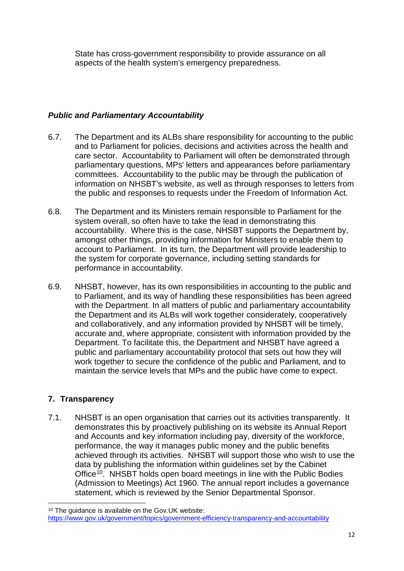State has cross-government responsibility to provide assurance on all aspects of the health system's emergency preparedness.

# *Public and Parliamentary Accountability*

- 6.7. The Department and its ALBs share responsibility for accounting to the public and to Parliament for policies, decisions and activities across the health and care sector. Accountability to Parliament will often be demonstrated through parliamentary questions, MPs' letters and appearances before parliamentary committees. Accountability to the public may be through the publication of information on NHSBT's website, as well as through responses to letters from the public and responses to requests under the Freedom of Information Act.
- 6.8. The Department and its Ministers remain responsible to Parliament for the system overall, so often have to take the lead in demonstrating this accountability. Where this is the case, NHSBT supports the Department by, amongst other things, providing information for Ministers to enable them to account to Parliament. In its turn, the Department will provide leadership to the system for corporate governance, including setting standards for performance in accountability.
- 6.9. NHSBT, however, has its own responsibilities in accounting to the public and to Parliament, and its way of handling these responsibilities has been agreed with the Department. In all matters of public and parliamentary accountability the Department and its ALBs will work together considerately, cooperatively and collaboratively, and any information provided by NHSBT will be timely, accurate and, where appropriate, consistent with information provided by the Department. To facilitate this, the Department and NHSBT have agreed a public and parliamentary accountability protocol that sets out how they will work together to secure the confidence of the public and Parliament, and to maintain the service levels that MPs and the public have come to expect.

# **7. Transparency**

7.1. NHSBT is an open organisation that carries out its activities transparently. It demonstrates this by proactively publishing on its website its Annual Report and Accounts and key information including pay, diversity of the workforce, performance, the way it manages public money and the public benefits achieved through its activities. NHSBT will support those who wish to use the data by publishing the information within guidelines set by the Cabinet Office<sup>[10](#page-11-0)</sup>. NHSBT holds open board meetings in line with the Public Bodies (Admission to Meetings) Act 1960. The annual report includes a governance statement, which is reviewed by the Senior Departmental Sponsor.

<span id="page-11-0"></span> <sup>10</sup> The guidance is available on the Gov.UK website:

<https://www.gov.uk/government/topics/government-efficiency-transparency-and-accountability>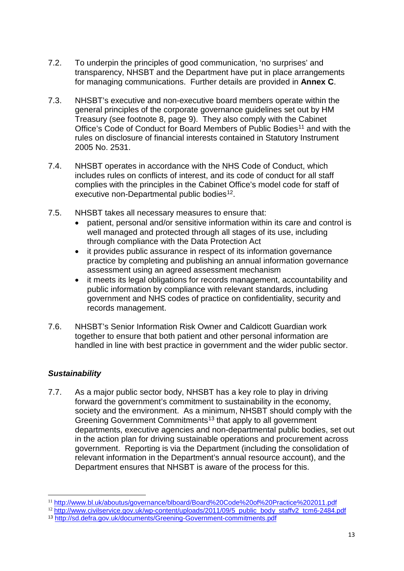- 7.2. To underpin the principles of good communication, 'no surprises' and transparency, NHSBT and the Department have put in place arrangements for managing communications. Further details are provided in **Annex C**.
- 7.3. NHSBT's executive and non-executive board members operate within the general principles of the corporate governance guidelines set out by HM Treasury (see footnote 8, page 9). They also comply with the Cabinet Office's Code of Conduct for Board Members of Public Bodies<sup>[11](#page-12-0)</sup> and with the rules on disclosure of financial interests contained in Statutory Instrument 2005 No. 2531.
- 7.4. NHSBT operates in accordance with the NHS Code of Conduct, which includes rules on conflicts of interest, and its code of conduct for all staff complies with the principles in the Cabinet Office's model code for staff of executive non-Departmental public bodies<sup>[12](#page-12-1)</sup>.
- 7.5. NHSBT takes all necessary measures to ensure that:
	- patient, personal and/or sensitive information within its care and control is well managed and protected through all stages of its use, including through compliance with the Data Protection Act
	- it provides public assurance in respect of its information governance practice by completing and publishing an annual information governance assessment using an agreed assessment mechanism
	- it meets its legal obligations for records management, accountability and public information by compliance with relevant standards, including government and NHS codes of practice on confidentiality, security and records management.
- 7.6. NHSBT's Senior Information Risk Owner and Caldicott Guardian work together to ensure that both patient and other personal information are handled in line with best practice in government and the wider public sector.

# *Sustainability*

7.7. As a major public sector body, NHSBT has a key role to play in driving forward the government's commitment to sustainability in the economy, society and the environment. As a minimum, NHSBT should comply with the Greening Government Commitments<sup>[13](#page-12-2)</sup> that apply to all government departments, executive agencies and non-departmental public bodies, set out in the action plan for driving sustainable operations and procurement across government. Reporting is via the Department (including the consolidation of relevant information in the Department's annual resource account), and the Department ensures that NHSBT is aware of the process for this.

<sup>11</sup> <http://www.bl.uk/aboutus/governance/blboard/Board%20Code%20of%20Practice%202011.pdf>

<span id="page-12-1"></span><span id="page-12-0"></span><sup>&</sup>lt;sup>12</sup> [http://www.civilservice.gov.uk/wp-content/uploads/2011/09/5\\_public\\_body\\_staffv2\\_tcm6-2484.pdf](http://www.civilservice.gov.uk/wp-content/uploads/2011/09/5_public_body_staffv2_tcm6-2484.pdf)

<span id="page-12-2"></span><sup>13</sup> <http://sd.defra.gov.uk/documents/Greening-Government-commitments.pdf>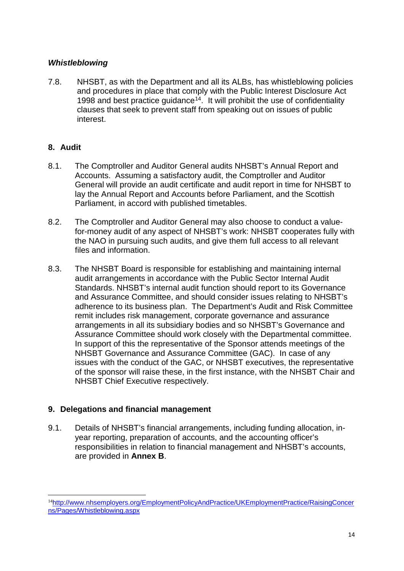#### *Whistleblowing*

7.8. NHSBT, as with the Department and all its ALBs, has whistleblowing policies and procedures in place that comply with the Public Interest Disclosure Act 1998 and best practice quidance<sup> $14$ </sup>. It will prohibit the use of confidentiality clauses that seek to prevent staff from speaking out on issues of public interest.

# **8. Audit**

- 8.1. The Comptroller and Auditor General audits NHSBT's Annual Report and Accounts. Assuming a satisfactory audit, the Comptroller and Auditor General will provide an audit certificate and audit report in time for NHSBT to lay the Annual Report and Accounts before Parliament, and the Scottish Parliament, in accord with published timetables.
- 8.2. The Comptroller and Auditor General may also choose to conduct a valuefor-money audit of any aspect of NHSBT's work: NHSBT cooperates fully with the NAO in pursuing such audits, and give them full access to all relevant files and information.
- 8.3. The NHSBT Board is responsible for establishing and maintaining internal audit arrangements in accordance with the Public Sector Internal Audit Standards. NHSBT's internal audit function should report to its Governance and Assurance Committee, and should consider issues relating to NHSBT's adherence to its business plan. The Department's Audit and Risk Committee remit includes risk management, corporate governance and assurance arrangements in all its subsidiary bodies and so NHSBT's Governance and Assurance Committee should work closely with the Departmental committee. In support of this the representative of the Sponsor attends meetings of the NHSBT Governance and Assurance Committee (GAC). In case of any issues with the conduct of the GAC, or NHSBT executives, the representative of the sponsor will raise these, in the first instance, with the NHSBT Chair and NHSBT Chief Executive respectively.

# **9. Delegations and financial management**

9.1. Details of NHSBT's financial arrangements, including funding allocation, inyear reporting, preparation of accounts, and the accounting officer's responsibilities in relation to financial management and NHSBT's accounts, are provided in **Annex B**.

<span id="page-13-0"></span><sup>-</sup><sup>14</sup>[http://www.nhsemployers.org/EmploymentPolicyAndPractice/UKEmploymentPractice/RaisingConcer](http://www.nhsemployers.org/EmploymentPolicyAndPractice/UKEmploymentPractice/RaisingConcerns/Pages/Whistleblowing.aspx) [ns/Pages/Whistleblowing.aspx](http://www.nhsemployers.org/EmploymentPolicyAndPractice/UKEmploymentPractice/RaisingConcerns/Pages/Whistleblowing.aspx)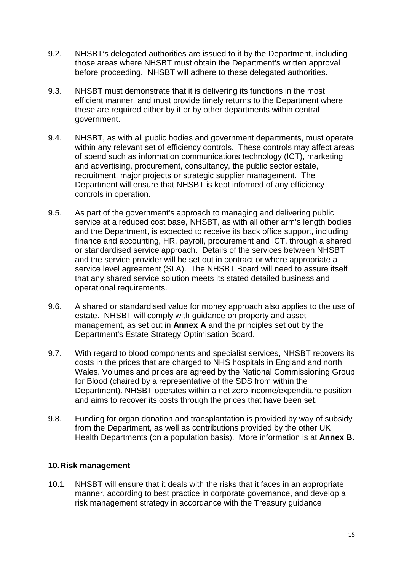- 9.2. NHSBT's delegated authorities are issued to it by the Department, including those areas where NHSBT must obtain the Department's written approval before proceeding. NHSBT will adhere to these delegated authorities.
- 9.3. NHSBT must demonstrate that it is delivering its functions in the most efficient manner, and must provide timely returns to the Department where these are required either by it or by other departments within central government.
- 9.4. NHSBT, as with all public bodies and government departments, must operate within any relevant set of efficiency controls. These controls may affect areas of spend such as information communications technology (ICT), marketing and advertising, procurement, consultancy, the public sector estate, recruitment, major projects or strategic supplier management. The Department will ensure that NHSBT is kept informed of any efficiency controls in operation.
- 9.5. As part of the government's approach to managing and delivering public service at a reduced cost base, NHSBT, as with all other arm's length bodies and the Department, is expected to receive its back office support, including finance and accounting, HR, payroll, procurement and ICT, through a shared or standardised service approach. Details of the services between NHSBT and the service provider will be set out in contract or where appropriate a service level agreement (SLA). The NHSBT Board will need to assure itself that any shared service solution meets its stated detailed business and operational requirements.
- 9.6. A shared or standardised value for money approach also applies to the use of estate. NHSBT will comply with guidance on property and asset management, as set out in **Annex A** and the principles set out by the Department's Estate Strategy Optimisation Board.
- 9.7. With regard to blood components and specialist services, NHSBT recovers its costs in the prices that are charged to NHS hospitals in England and north Wales. Volumes and prices are agreed by the National Commissioning Group for Blood (chaired by a representative of the SDS from within the Department). NHSBT operates within a net zero income/expenditure position and aims to recover its costs through the prices that have been set.
- 9.8. Funding for organ donation and transplantation is provided by way of subsidy from the Department, as well as contributions provided by the other UK Health Departments (on a population basis). More information is at **Annex B**.

# **10.Risk management**

10.1. NHSBT will ensure that it deals with the risks that it faces in an appropriate manner, according to best practice in corporate governance, and develop a risk management strategy in accordance with the Treasury guidance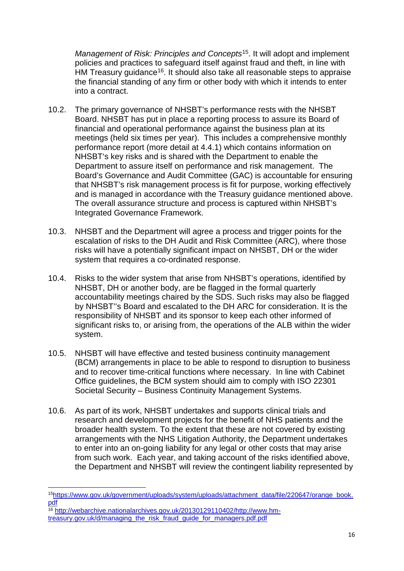*Management of Risk: Principles and Concepts*[15](#page-15-0). It will adopt and implement policies and practices to safeguard itself against fraud and theft, in line with HM Treasury quidance<sup>16</sup>. It should also take all reasonable steps to appraise the financial standing of any firm or other body with which it intends to enter into a contract.

- 10.2. The primary governance of NHSBT's performance rests with the NHSBT Board. NHSBT has put in place a reporting process to assure its Board of financial and operational performance against the business plan at its meetings (held six times per year). This includes a comprehensive monthly performance report (more detail at 4.4.1) which contains information on NHSBT's key risks and is shared with the Department to enable the Department to assure itself on performance and risk management. The Board's Governance and Audit Committee (GAC) is accountable for ensuring that NHSBT's risk management process is fit for purpose, working effectively and is managed in accordance with the Treasury guidance mentioned above. The overall assurance structure and process is captured within NHSBT's Integrated Governance Framework.
- 10.3. NHSBT and the Department will agree a process and trigger points for the escalation of risks to the DH Audit and Risk Committee (ARC), where those risks will have a potentially significant impact on NHSBT, DH or the wider system that requires a co-ordinated response.
- 10.4. Risks to the wider system that arise from NHSBT's operations, identified by NHSBT, DH or another body, are be flagged in the formal quarterly accountability meetings chaired by the SDS. Such risks may also be flagged by NHSBT''s Board and escalated to the DH ARC for consideration. It is the responsibility of NHSBT and its sponsor to keep each other informed of significant risks to, or arising from, the operations of the ALB within the wider system.
- 10.5. NHSBT will have effective and tested business continuity management (BCM) arrangements in place to be able to respond to disruption to business and to recover time-critical functions where necessary. In line with Cabinet Office guidelines, the BCM system should aim to comply with ISO 22301 Societal Security – Business Continuity Management Systems.
- 10.6. As part of its work, NHSBT undertakes and supports clinical trials and research and development projects for the benefit of NHS patients and the broader health system. To the extent that these are not covered by existing arrangements with the NHS Litigation Authority, the Department undertakes to enter into an on-going liability for any legal or other costs that may arise from such work. Each year, and taking account of the risks identified above, the Department and NHSBT will review the contingent liability represented by

<span id="page-15-0"></span> <sup>1</sup>[5https://www.gov.uk/government/uploads/system/uploads/attachment\\_data/file/220647/orange\\_book.](https://www.gov.uk/government/uploads/system/uploads/attachment_data/file/220647/orange_book.pdf) [pdf](https://www.gov.uk/government/uploads/system/uploads/attachment_data/file/220647/orange_book.pdf)

<span id="page-15-1"></span><sup>&</sup>lt;sup>16</sup> [http://webarchive.nationalarchives.gov.uk/20130129110402/http://www.hm](http://webarchive.nationalarchives.gov.uk/20130129110402/http:/www.hm-treasury.gov.uk/d/managing_the_risk_fraud_guide_for_managers.pdf.pdf)[treasury.gov.uk/d/managing\\_the\\_risk\\_fraud\\_guide\\_for\\_managers.pdf.pdf](http://webarchive.nationalarchives.gov.uk/20130129110402/http:/www.hm-treasury.gov.uk/d/managing_the_risk_fraud_guide_for_managers.pdf.pdf)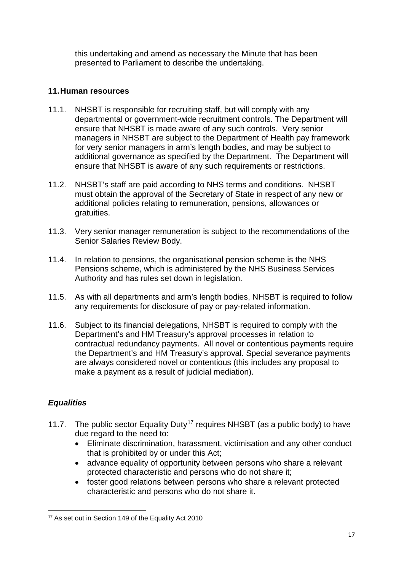this undertaking and amend as necessary the Minute that has been presented to Parliament to describe the undertaking.

# **11.Human resources**

- 11.1. NHSBT is responsible for recruiting staff, but will comply with any departmental or government-wide recruitment controls. The Department will ensure that NHSBT is made aware of any such controls. Very senior managers in NHSBT are subject to the Department of Health pay framework for very senior managers in arm's length bodies, and may be subject to additional governance as specified by the Department. The Department will ensure that NHSBT is aware of any such requirements or restrictions.
- 11.2. NHSBT's staff are paid according to NHS terms and conditions. NHSBT must obtain the approval of the Secretary of State in respect of any new or additional policies relating to remuneration, pensions, allowances or gratuities.
- 11.3. Very senior manager remuneration is subject to the recommendations of the Senior Salaries Review Body.
- 11.4. In relation to pensions, the organisational pension scheme is the NHS Pensions scheme, which is administered by the NHS Business Services Authority and has rules set down in legislation.
- 11.5. As with all departments and arm's length bodies, NHSBT is required to follow any requirements for disclosure of pay or pay-related information.
- 11.6. Subject to its financial delegations, NHSBT is required to comply with the Department's and HM Treasury's approval processes in relation to contractual redundancy payments. All novel or contentious payments require the Department's and HM Treasury's approval. Special severance payments are always considered novel or contentious (this includes any proposal to make a payment as a result of judicial mediation).

# *Equalities*

- 11.7. The public sector Equality Duty<sup>17</sup> requires NHSBT (as a public body) to have due regard to the need to:
	- Eliminate discrimination, harassment, victimisation and any other conduct that is prohibited by or under this Act;
	- advance equality of opportunity between persons who share a relevant protected characteristic and persons who do not share it;
	- foster good relations between persons who share a relevant protected characteristic and persons who do not share it.

<span id="page-16-0"></span><sup>-</sup><sup>17</sup> As set out in Section 149 of the Equality Act 2010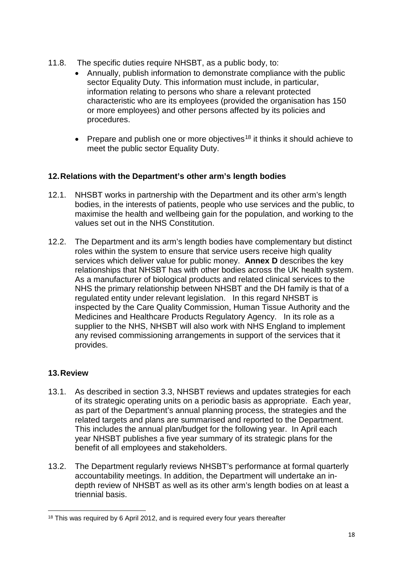- 11.8. The specific duties require NHSBT, as a public body, to:
	- Annually, publish information to demonstrate compliance with the public sector Equality Duty. This information must include, in particular, information relating to persons who share a relevant protected characteristic who are its employees (provided the organisation has 150 or more employees) and other persons affected by its policies and procedures.
	- Prepare and publish one or more objectives<sup>[18](#page-17-0)</sup> it thinks it should achieve to meet the public sector Equality Duty.

# **12.Relations with the Department's other arm's length bodies**

- 12.1. NHSBT works in partnership with the Department and its other arm's length bodies, in the interests of patients, people who use services and the public, to maximise the health and wellbeing gain for the population, and working to the values set out in the NHS Constitution.
- 12.2. The Department and its arm's length bodies have complementary but distinct roles within the system to ensure that service users receive high quality services which deliver value for public money. **Annex D** describes the key relationships that NHSBT has with other bodies across the UK health system. As a manufacturer of biological products and related clinical services to the NHS the primary relationship between NHSBT and the DH family is that of a regulated entity under relevant legislation. In this regard NHSBT is inspected by the Care Quality Commission, Human Tissue Authority and the Medicines and Healthcare Products Regulatory Agency. In its role as a supplier to the NHS, NHSBT will also work with NHS England to implement any revised commissioning arrangements in support of the services that it provides.

# **13.Review**

- 13.1. As described in section 3.3, NHSBT reviews and updates strategies for each of its strategic operating units on a periodic basis as appropriate. Each year, as part of the Department's annual planning process, the strategies and the related targets and plans are summarised and reported to the Department. This includes the annual plan/budget for the following year. In April each year NHSBT publishes a five year summary of its strategic plans for the benefit of all employees and stakeholders.
- 13.2. The Department regularly reviews NHSBT's performance at formal quarterly accountability meetings. In addition, the Department will undertake an indepth review of NHSBT as well as its other arm's length bodies on at least a triennial basis.

<span id="page-17-0"></span><sup>&</sup>lt;sup>18</sup> This was required by 6 April 2012, and is required every four years thereafter